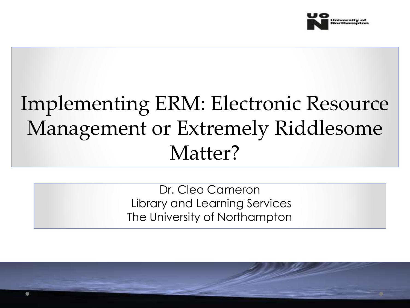

## Implementing ERM: Electronic Resource Management or Extremely Riddlesome Matter?

Dr. Cleo Cameron Library and Learning Services The University of Northampton

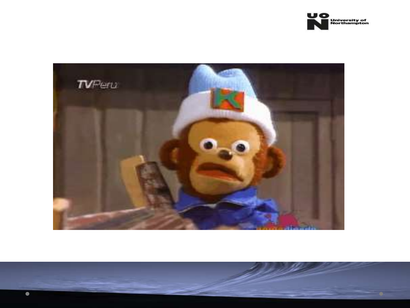



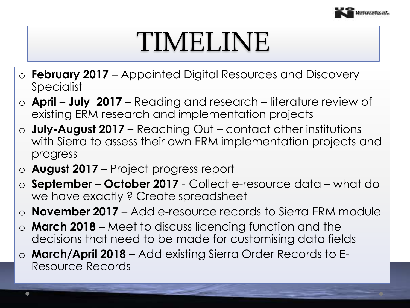

# TIMELINE

- o **February 2017**  Appointed Digital Resources and Discovery Specialist
- o **April – July 2017**  Reading and research literature review of existing ERM research and implementation projects
- o **July-August 2017**  Reaching Out contact other institutions with Sierra to assess their own ERM implementation projects and progress
- o **August 2017**  Project progress report
- o **September – October 2017**  Collect e-resource data what do we have exactly ? Create spreadsheet
- o **November 2017** Add e-resource records to Sierra ERM module
- o **March 2018**  Meet to discuss licencing function and the decisions that need to be made for customising data fields
- o **March/April 2018**  Add existing Sierra Order Records to E-Resource Records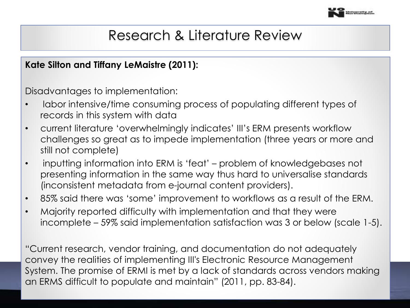

### Research & Literature Review

#### **Kate Silton and Tiffany LeMaistre (2011):**

Disadvantages to implementation:

- labor intensive/time consuming process of populating different types of records in this system with data
- current literature 'overwhelmingly indicates' III's ERM presents workflow challenges so great as to impede implementation (three years or more and still not complete)
- inputting information into ERM is 'feat' problem of knowledgebases not presenting information in the same way thus hard to universalise standards (inconsistent metadata from e-journal content providers).
- 85% said there was 'some' improvement to workflows as a result of the ERM.
- Majority reported difficulty with implementation and that they were incomplete – 59% said implementation satisfaction was 3 or below (scale 1-5).

"Current research, vendor training, and documentation do not adequately convey the realities of implementing III's Electronic Resource Management System. The promise of ERMI is met by a lack of standards across vendors making an ERMS difficult to populate and maintain" (2011, pp. 83-84).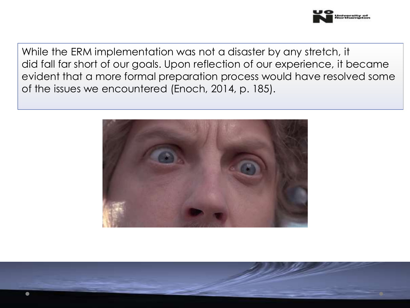

While the ERM implementation was not a disaster by any stretch, it did fall far short of our goals. Upon reflection of our experience, it became evident that a more formal preparation process would have resolved some of the issues we encountered (Enoch, 2014, p. 185).



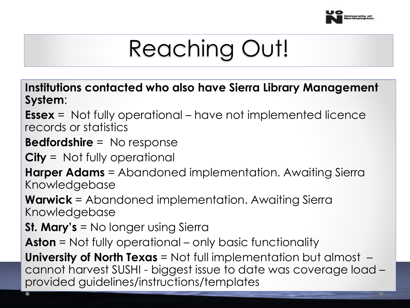

# Reaching Out!

**Institutions contacted who also have Sierra Library Management System**:

**Essex** = Not fully operational – have not implemented licence records or statistics

**Bedfordshire** = No response

**City** = Not fully operational

**Harper Adams** = Abandoned implementation. Awaiting Sierra Knowledgebase

**Warwick** = Abandoned implementation. Awaiting Sierra Knowledgebase

**St. Mary's** = No longer using Sierra

**Aston** = Not fully operational – only basic functionality

**University of North Texas** = Not full implementation but almost – cannot harvest SUSHI - biggest issue to date was coverage load – provided guidelines/instructions/templates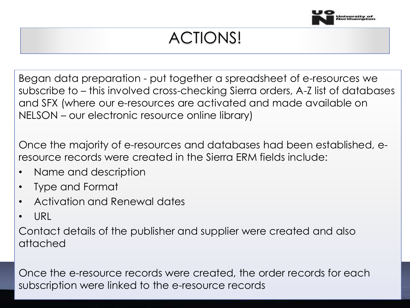

## ACTIONS!

Began data preparation - put together a spreadsheet of e-resources we subscribe to – this involved cross-checking Sierra orders, A-Z list of databases and SFX (where our e-resources are activated and made available on NELSON – our electronic resource online library)

Once the majority of e-resources and databases had been established, eresource records were created in the Sierra ERM fields include:

- Name and description
- Type and Format
- Activation and Renewal dates
- $\cdot$  URL

Contact details of the publisher and supplier were created and also attached

Once the e-resource records were created, the order records for each subscription were linked to the e-resource records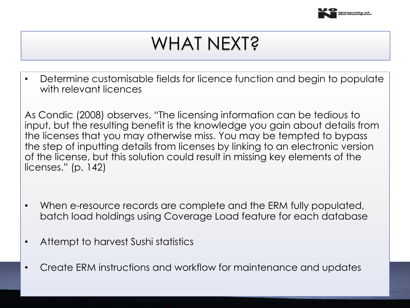

## WHAT NEXT?

• Determine customisable fields for licence function and begin to populate with relevant licences

As Condic (2008) observes, "The licensing information can be tedious to input, but the resulting benefit is the knowledge you gain about details from the licenses that you may otherwise miss. You may be tempted to bypass the step of inputting details from licenses by linking to an electronic version of the license, but this solution could result in missing key elements of the licenses." (p. 142)

- When e-resource records are complete and the ERM fully populated, batch load holdings using Coverage Load feature for each database
- Attempt to harvest Sushi statistics
- Create ERM instructions and workflow for maintenance and updates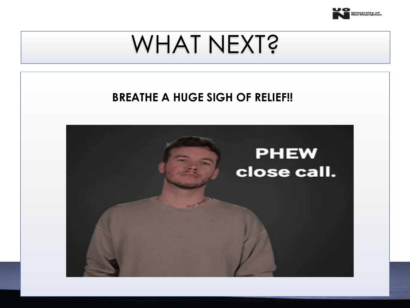

# WHAT NEXT?

### **BREATHE A HUGE SIGH OF RELIEF!!**